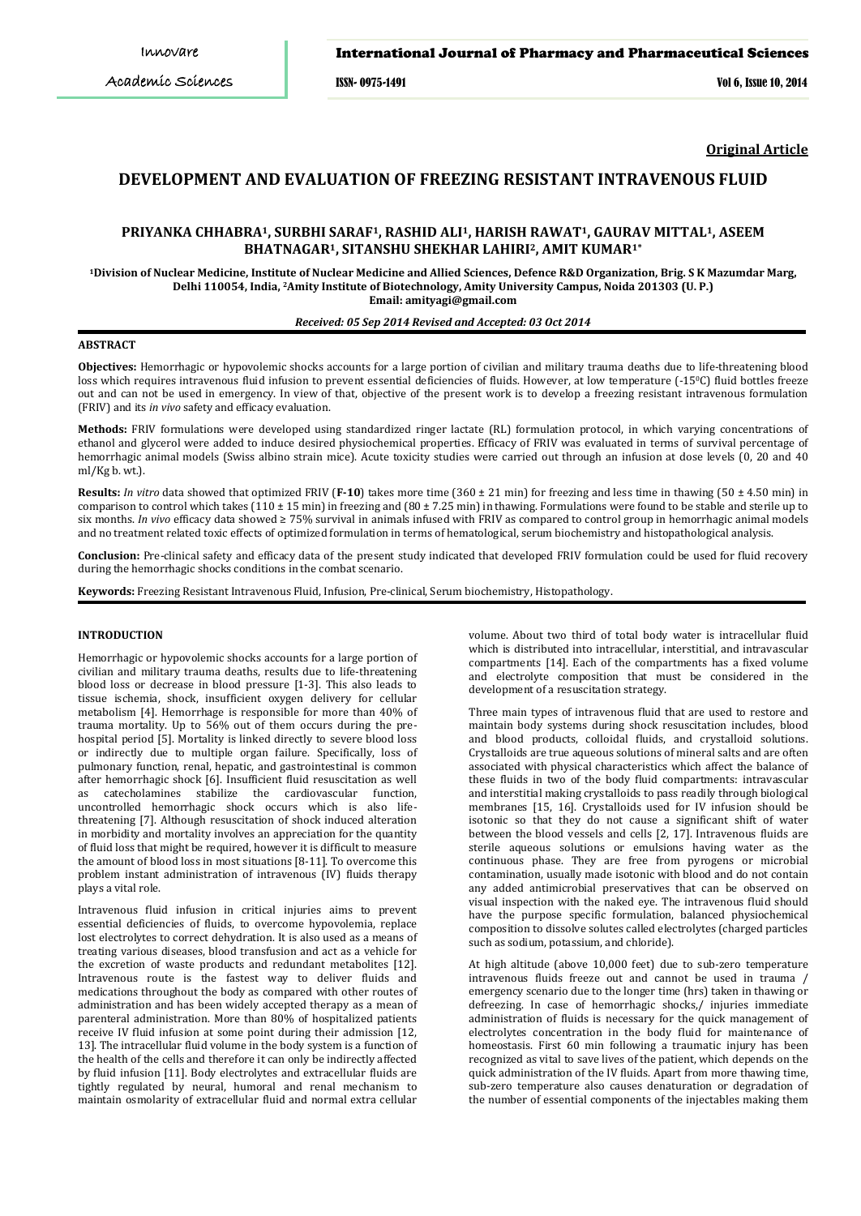## International Journal of Pharmacy and Pharmaceutical Sciences

ISSN- 0975-1491 Vol 6, Issue 10, 2014

**Original Article**

# **DEVELOPMENT AND EVALUATION OF FREEZING RESISTANT INTRAVENOUS FLUID**

# **PRIYANKA CHHABRA1, SURBHI SARAF1, RASHID ALI1, HARISH RAWAT1, GAURAV MITTAL1, ASEEM BHATNAGAR1, SITANSHU SHEKHAR LAHIRI2, AMIT KUMAR1\***

**1Division of Nuclear Medicine, Institute of Nuclear Medicine and Allied Sciences, Defence R&D Organization, Brig. S K Mazumdar Marg, Delhi 110054, India, 2Amity Institute of Biotechnology, Amity University Campus, Noida 201303 (U. P.) Email: amityagi@gmail.com**

### *Received: 05 Sep 2014 Revised and Accepted: 03 Oct 2014*

## **ABSTRACT**

**Objectives:** Hemorrhagic or hypovolemic shocks accounts for a large portion of civilian and military trauma deaths due to life-threatening blood loss which requires intravenous fluid infusion to prevent essential deficiencies of fluids. However, at low temperature (-150 C) fluid bottles freeze out and can not be used in emergency. In view of that, objective of the present work is to develop a freezing resistant intravenous formulation (FRIV) and its *in vivo* safety and efficacy evaluation.

**Methods:** FRIV formulations were developed using standardized ringer lactate (RL) formulation protocol, in which varying concentrations of ethanol and glycerol were added to induce desired physiochemical properties. Efficacy of FRIV was evaluated in terms of survival percentage of hemorrhagic animal models (Swiss albino strain mice). Acute toxicity studies were carried out through an infusion at dose levels (0, 20 and 40 ml/Kg b. wt.).

**Results:** *In vitro* data showed that optimized FRIV (**F-10**) takes more time (360 ± 21 min) for freezing and less time in thawing (50 ± 4.50 min) in comparison to control which takes (110 ± 15 min) in freezing and (80 ± 7.25 min) in thawing. Formulations were found to be stable and sterile up to six months. *In vivo* efficacy data showed ≥ 75% survival in animals infused with FRIV as compared to control group in hemorrhagic animal models and no treatment related toxic effects of optimized formulation in terms of hematological, serum biochemistry and histopathological analysis.

**Conclusion:** Pre-clinical safety and efficacy data of the present study indicated that developed FRIV formulation could be used for fluid recovery during the hemorrhagic shocks conditions in the combat scenario.

**Keywords:** Freezing Resistant Intravenous Fluid, Infusion, Pre-clinical, Serum biochemistry, Histopathology.

### **INTRODUCTION**

Hemorrhagic or hypovolemic shocks accounts for a large portion of civilian and military trauma deaths, results due to life-threatening blood loss or decrease in blood pressure [1-3]. This also leads to tissue ischemia, shock, insufficient oxygen delivery for cellular metabolism [4]. Hemorrhage is responsible for more than 40% of trauma mortality. Up to 56% out of them occurs during the prehospital period [5]. Mortality is linked directly to severe blood loss or indirectly due to multiple organ failure. Specifically, loss of pulmonary function, renal, hepatic, and gastrointestinal is common after hemorrhagic shock [6]. Insufficient fluid resuscitation as well<br>as catecholamines stabilize the cardiovascular function. as catecholamines stabilize the cardiovascular uncontrolled hemorrhagic shock occurs which is also lifethreatening [7]. Although resuscitation of shock induced alteration in morbidity and mortality involves an appreciation for the quantity of fluid loss that might be required, however it is difficult to measure the amount of blood loss in most situations [8-11]. To overcome this problem instant administration of intravenous (IV) fluids therapy plays a vital role.

Intravenous fluid infusion in critical injuries aims to prevent essential deficiencies of fluids, to overcome hypovolemia, replace lost electrolytes to correct dehydration. It is also used as a means of treating various diseases, blood transfusion and act as a vehicle for the excretion of waste products and redundant metabolites [12]. Intravenous route is the fastest way to deliver fluids and medications throughout the body as compared with other routes of administration and has been widely accepted therapy as a mean of parenteral administration. More than 80% of hospitalized patients receive IV fluid infusion at some point during their admission [12, 13]. The intracellular fluid volume in the body system is a function of the health of the cells and therefore it can only be indirectly affected by fluid infusion [11]. Body electrolytes and extracellular fluids are tightly regulated by neural, humoral and renal mechanism to maintain osmolarity of extracellular fluid and normal extra cellular

volume. About two third of total body water is intracellular fluid which is distributed into intracellular, interstitial, and intravascular compartments [14]. Each of the compartments has a fixed volume and electrolyte composition that must be considered in the development of a resuscitation strategy.

Three main types of intravenous fluid that are used to restore and maintain body systems during shock resuscitation includes, blood and blood products, colloidal fluids, and crystalloid solutions. Crystalloids are true aqueous solutions of mineral salts and are often associated with physical characteristics which affect the balance of these fluids in two of the body fluid compartments: intravascular and interstitial making crystalloids to pass readily through biological membranes [15, 16]. Crystalloids used for IV infusion should be isotonic so that they do not cause a significant shift of water between the blood vessels and cells [2, 17]. Intravenous fluids are sterile aqueous solutions or emulsions having water as the continuous phase. They are free from pyrogens or microbial contamination, usually made isotonic with blood and do not contain any added antimicrobial preservatives that can be observed on visual inspection with the naked eye. The intravenous fluid should have the purpose specific formulation, balanced physiochemical composition to dissolve solutes called electrolytes (charged particles such as sodium, potassium, and chloride).

At high altitude (above 10,000 feet) due to sub-zero temperature intravenous fluids freeze out and cannot be used in trauma / emergency scenario due to the longer time (hrs) taken in thawing or defreezing. In case of hemorrhagic shocks,/ injuries immediate administration of fluids is necessary for the quick management of electrolytes concentration in the body fluid for maintenance of homeostasis. First 60 min following a traumatic injury has been recognized as vital to save lives of the patient, which depends on the quick administration of the IV fluids. Apart from more thawing time, sub-zero temperature also causes denaturation or degradation of the number of essential components of the injectables making them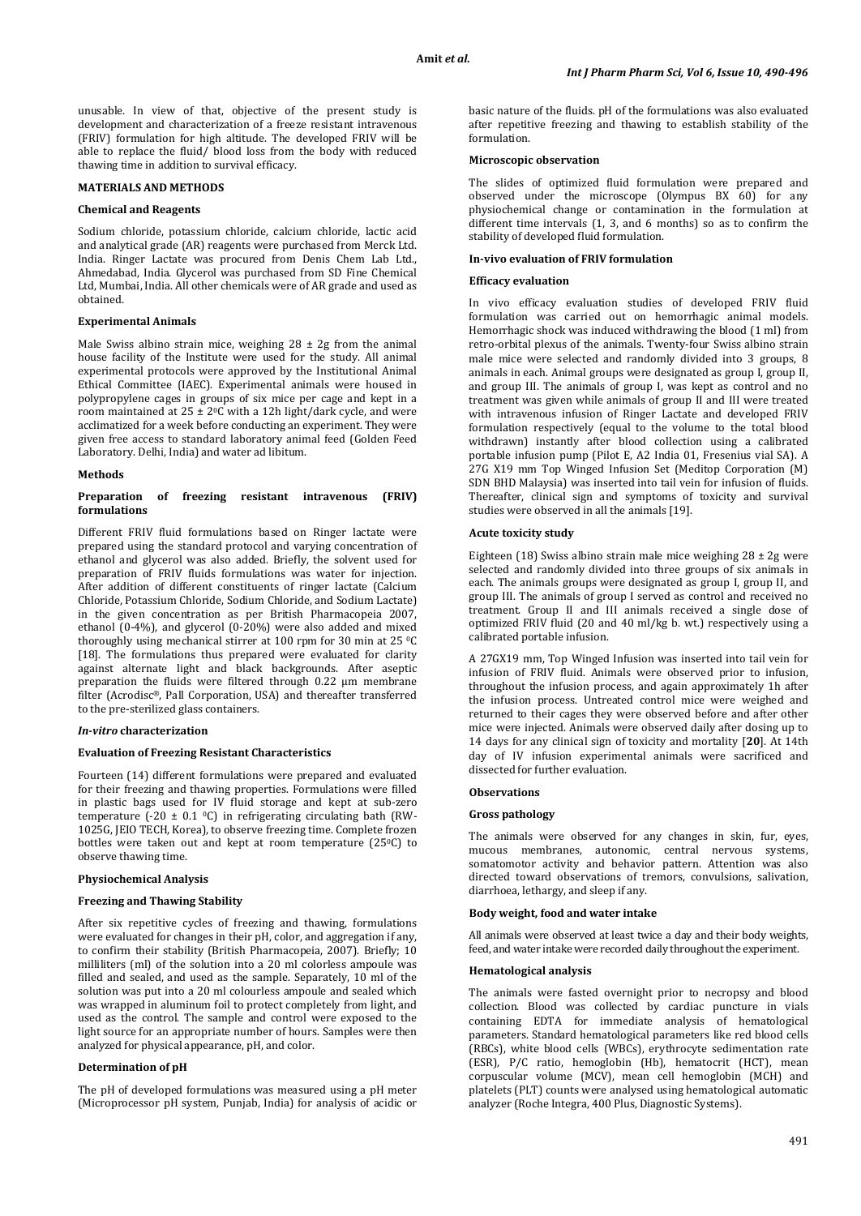unusable. In view of that, objective of the present study is development and characterization of a freeze resistant intravenous (FRIV) formulation for high altitude. The developed FRIV will be able to replace the fluid/ blood loss from the body with reduced thawing time in addition to survival efficacy.

## **MATERIALS AND METHODS**

#### **Chemical and Reagents**

Sodium chloride, potassium chloride, calcium chloride, lactic acid and analytical grade (AR) reagents were purchased from Merck Ltd. India. Ringer Lactate was procured from Denis Chem Lab Ltd., Ahmedabad, India. Glycerol was purchased from SD Fine Chemical Ltd, Mumbai, India. All other chemicals were of AR grade and used as obtained.

## **Experimental Animals**

Male Swiss albino strain mice, weighing  $28 \pm 2g$  from the animal house facility of the Institute were used for the study. All animal experimental protocols were approved by the Institutional Animal Ethical Committee (IAEC). Experimental animals were housed in polypropylene cages in groups of six mice per cage and kept in a room maintained at 25 ± 20 C with a 12h light/dark cycle, and were acclimatized for a week before conducting an experiment. They were given free access to standard laboratory animal feed (Golden Feed Laboratory. Delhi, India) and water ad libitum.

#### **Methods**

### **Preparation of freezing resistant intravenous (FRIV) formulations**

Different FRIV fluid formulations based on Ringer lactate were prepared using the standard protocol and varying concentration of ethanol and glycerol was also added. Briefly, the solvent used for preparation of FRIV fluids formulations was water for injection. After addition of different constituents of ringer lactate (Calcium Chloride, Potassium Chloride, Sodium Chloride, and Sodium Lactate) in the given concentration as per British Pharmacopeia 2007, ethanol (0-4%), and glycerol (0-20%) were also added and mixed thoroughly using mechanical stirrer at 100 rpm for 30 min at 25 °C [18]. The formulations thus prepared were evaluated for clarity against alternate light and black backgrounds. After aseptic preparation the fluids were filtered through 0.22 μm membrane filter (Acrodisc® , Pall Corporation, USA) and thereafter transferred to the pre-sterilized glass containers.

## *In-vitro* **characterization**

### **Evaluation of Freezing Resistant Characteristics**

Fourteen (14) different formulations were prepared and evaluated for their freezing and thawing properties. Formulations were filled in plastic bags used for IV fluid storage and kept at sub-zero temperature  $(-20 \pm 0.1 \degree \text{C})$  in refrigerating circulating bath (RW-1025G, JEIO TECH, Korea), to observe freezing time. Complete frozen bottles were taken out and kept at room temperature (25°C) to observe thawing time.

### **Physiochemical Analysis**

## **Freezing and Thawing Stability**

After six repetitive cycles of freezing and thawing, formulations were evaluated for changes in their pH, color, and aggregation if any, to confirm their stability (British Pharmacopeia, 2007). Briefly; 10 milliliters (ml) of the solution into a 20 ml colorless ampoule was filled and sealed, and used as the sample. Separately, 10 ml of the solution was put into a 20 ml colourless ampoule and sealed which was wrapped in aluminum foil to protect completely from light, and used as the control. The sample and control were exposed to the light source for an appropriate number of hours. Samples were then analyzed for physical appearance, pH, and color.

## **Determination of pH**

The pH of developed formulations was measured using a pH meter (Microprocessor pH system, Punjab, India) for analysis of acidic or basic nature of the fluids. pH of the formulations was also evaluated after repetitive freezing and thawing to establish stability of the formulation.

#### **Microscopic observation**

The slides of optimized fluid formulation were prepared and observed under the microscope (Olympus BX 60) for any physiochemical change or contamination in the formulation at different time intervals (1, 3, and 6 months) so as to confirm the stability of developed fluid formulation.

## **In-vivo evaluation of FRIV formulation**

#### **Efficacy evaluation**

In vivo efficacy evaluation studies of developed FRIV fluid formulation was carried out on hemorrhagic animal models. Hemorrhagic shock was induced withdrawing the blood (1 ml) from retro-orbital plexus of the animals. Twenty-four Swiss albino strain male mice were selected and randomly divided into 3 groups, 8 animals in each. Animal groups were designated as group I, group II, and group III. The animals of group I, was kept as control and no treatment was given while animals of group II and III were treated with intravenous infusion of Ringer Lactate and developed FRIV formulation respectively (equal to the volume to the total blood withdrawn) instantly after blood collection using a calibrated portable infusion pump (Pilot E, A2 India 01, Fresenius vial SA). A 27G X19 mm Top Winged Infusion Set (Meditop Corporation (M) SDN BHD Malaysia) was inserted into tail vein for infusion of fluids. Thereafter, clinical sign and symptoms of toxicity and survival studies were observed in all the animals [19].

## **Acute toxicity study**

Eighteen (18) Swiss albino strain male mice weighing  $28 \pm 2$ g were selected and randomly divided into three groups of six animals in each. The animals groups were designated as group I, group II, and group III. The animals of group I served as control and received no treatment. Group II and III animals received a single dose of optimized FRIV fluid (20 and 40 ml/kg b. wt.) respectively using a calibrated portable infusion.

A 27GX19 mm, Top Winged Infusion was inserted into tail vein for infusion of FRIV fluid. Animals were observed prior to infusion, throughout the infusion process, and again approximately 1h after the infusion process. Untreated control mice were weighed and returned to their cages they were observed before and after other mice were injected. Animals were observed daily after dosing up to 14 days for any clinical sign of toxicity and mortality [**20**]. At 14th day of IV infusion experimental animals were sacrificed and dissected for further evaluation.

### **Observations**

### **Gross pathology**

The animals were observed for any changes in skin, fur, eyes, mucous membranes, autonomic, central nervous systems, somatomotor activity and behavior pattern. Attention was also directed toward observations of tremors, convulsions, salivation, diarrhoea, lethargy, and sleep if any.

### **Body weight, food and water intake**

All animals were observed at least twice a day and their body weights, feed, and water intake were recorded daily throughout the experiment.

### **Hematological analysis**

The animals were fasted overnight prior to necropsy and blood collection. Blood was collected by cardiac puncture in vials containing EDTA for immediate analysis of hematological parameters. Standard hematological parameters like red blood cells (RBCs), white blood cells (WBCs), erythrocyte sedimentation rate (ESR), P/C ratio, hemoglobin (Hb), hematocrit (HCT), mean corpuscular volume (MCV), mean cell hemoglobin (MCH) and platelets (PLT) counts were analysed using hematological automatic analyzer (Roche Integra, 400 Plus, Diagnostic Systems).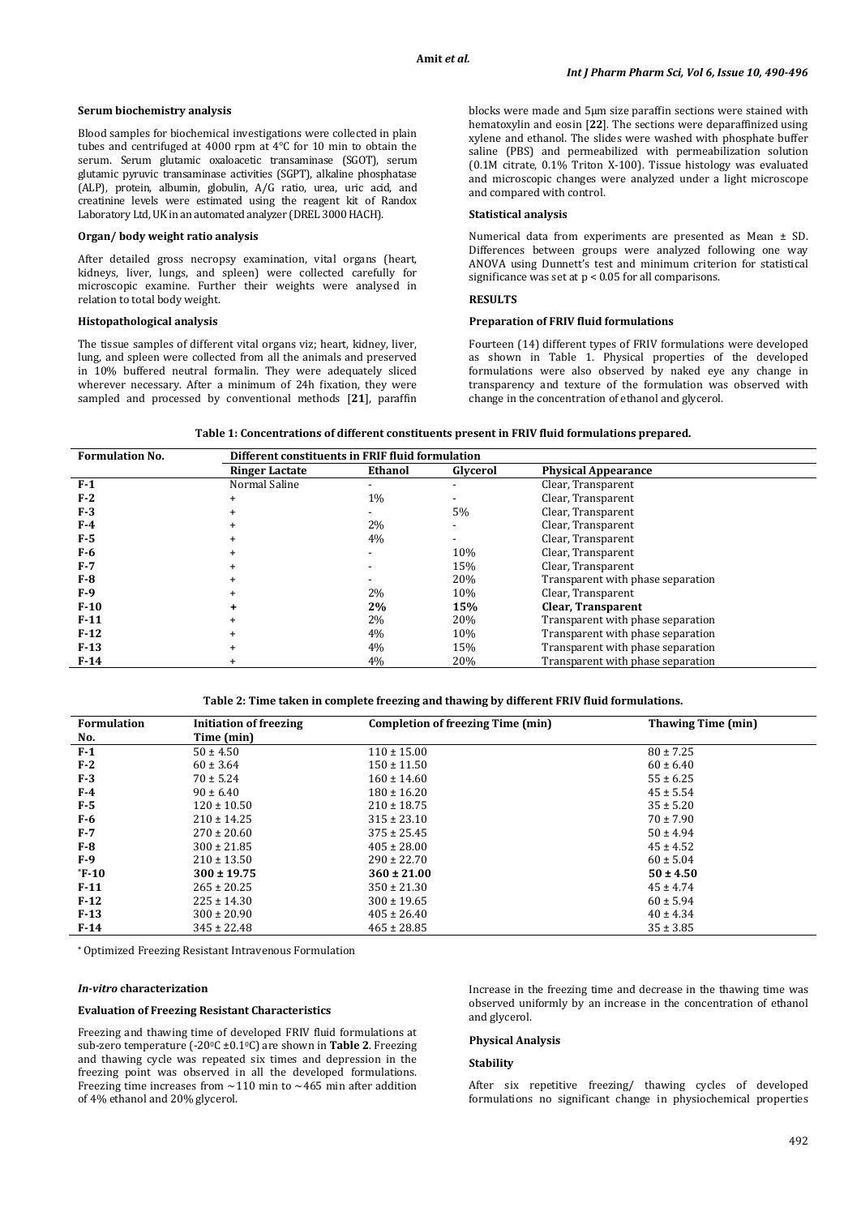### **Serum biochemistry analysis**

Blood samples for biochemical investigations were collected in plain tubes and centrifuged at 4000 rpm at 4°C for 10 min to obtain the serum. Serum glutamic oxaloacetic transaminase (SGOT), serum glutamic pyruvic transaminase activities (SGPT), alkaline phosphatase (ALP), protein, albumin, globulin, A/G ratio, urea, uric acid, and creatinine levels were estimated using the reagent kit of Randox Laboratory Ltd, UK in an automated analyzer (DREL 3000 HACH).

### **Organ/ body weight ratio analysis**

After detailed gross necropsy examination, vital organs (heart, kidneys, liver, lungs, and spleen) were collected carefully for microscopic examine. Further their weights were analysed in relation to total body weight.

## **Histopathological analysis**

The tissue samples of different vital organs viz; heart, kidney, liver, lung, and spleen were collected from all the animals and preserved in 10% buffered neutral formalin. They were adequately sliced wherever necessary. After a minimum of 24h fixation, they were sampled and processed by conventional methods [**21**], paraffin blocks were made and 5μm size paraffin sections were stained with hematoxylin and eosin [**22**]. The sections were deparaffinized using xylene and ethanol. The slides were washed with phosphate buffer saline (PBS) and permeabilized with permeabilization solution (0.1M citrate, 0.1% Triton X-100). Tissue histology was evaluated and microscopic changes were analyzed under a light microscope and compared with control.

## **Statistical analysis**

Numerical data from experiments are presented as Mean ± SD. Differences between groups were analyzed following one way ANOVA using Dunnett's test and minimum criterion for statistical significance was set at p < 0.05 for all comparisons.

### **RESULTS**

## **Preparation of FRIV fluid formulations**

Fourteen (14) different types of FRIV formulations were developed as shown in Table 1. Physical properties of the developed formulations were also observed by naked eye any change in transparency and texture of the formulation was observed with change in the concentration of ethanol and glycerol.

**Table 1: Concentrations of different constituents present in FRIV fluid formulations prepared.**

| <b>Formulation No.</b> | Different constituents in FRIF fluid formulation |         |                          |                                   |  |
|------------------------|--------------------------------------------------|---------|--------------------------|-----------------------------------|--|
|                        | <b>Ringer Lactate</b>                            | Ethanol | Glycerol                 | <b>Physical Appearance</b>        |  |
| $F-1$                  | Normal Saline                                    |         |                          | Clear, Transparent                |  |
| $F-2$                  |                                                  | $1\%$   |                          | Clear, Transparent                |  |
| $F-3$                  |                                                  |         | 5%                       | Clear, Transparent                |  |
| F-4                    |                                                  | 2%      | $\overline{\phantom{a}}$ | Clear, Transparent                |  |
| F-5                    |                                                  | 4%      | $\overline{\phantom{0}}$ | Clear, Transparent                |  |
| F-6                    |                                                  |         | 10%                      | Clear, Transparent                |  |
| $F-7$                  |                                                  |         | 15%                      | Clear, Transparent                |  |
| <b>F-8</b>             |                                                  |         | 20%                      | Transparent with phase separation |  |
| $F-9$                  |                                                  | 2%      | 10%                      | Clear, Transparent                |  |
| $F-10$                 |                                                  | 2%      | 15%                      | Clear, Transparent                |  |
| $F-11$                 |                                                  | 2%      | 20%                      | Transparent with phase separation |  |
| $F-12$                 |                                                  | 4%      | 10%                      | Transparent with phase separation |  |
| $F-13$                 |                                                  | 4%      | 15%                      | Transparent with phase separation |  |
| $F-14$                 |                                                  | 4%      | 20%                      | Transparent with phase separation |  |

**Table 2: Time taken in complete freezing and thawing by different FRIV fluid formulations.**

| <b>Formulation</b> | <b>Initiation of freezing</b> | Completion of freezing Time (min) | <b>Thawing Time (min)</b> |
|--------------------|-------------------------------|-----------------------------------|---------------------------|
| No.                | Time (min)                    |                                   |                           |
| $F-1$              | $50 \pm 4.50$                 | $110 \pm 15.00$                   | $80 \pm 7.25$             |
| $F-2$              | $60 \pm 3.64$                 | $150 \pm 11.50$                   | $60 \pm 6.40$             |
| $F-3$              | $70 \pm 5.24$                 | $160 \pm 14.60$                   | $55 \pm 6.25$             |
| $F-4$              | $90 \pm 6.40$                 | $180 \pm 16.20$                   | $45 \pm 5.54$             |
| $F-5$              | $120 \pm 10.50$               | $210 \pm 18.75$                   | $35 \pm 5.20$             |
| $F-6$              | $210 \pm 14.25$               | $315 \pm 23.10$                   | $70 \pm 7.90$             |
| $F-7$              | $270 \pm 20.60$               | $375 \pm 25.45$                   | $50 \pm 4.94$             |
| $F-8$              | $300 \pm 21.85$               | $405 \pm 28.00$                   | $45 \pm 4.52$             |
| $F-9$              | $210 \pm 13.50$               | $290 \pm 22.70$                   | $60 \pm 5.04$             |
| $*F-10$            | $300 \pm 19.75$               | $360 \pm 21.00$                   | $50 \pm 4.50$             |
| $F-11$             | $265 \pm 20.25$               | $350 \pm 21.30$                   | $45 \pm 4.74$             |
| $F-12$             | $225 \pm 14.30$               | $300 \pm 19.65$                   | $60 \pm 5.94$             |
| $F-13$             | $300 \pm 20.90$               | $405 \pm 26.40$                   | $40 \pm 4.34$             |
| $F-14$             | $345 \pm 22.48$               | $465 \pm 28.85$                   | $35 \pm 3.85$             |

**\*** Optimized Freezing Resistant Intravenous Formulation

### *In-vitro* **characterization**

## **Evaluation of Freezing Resistant Characteristics**

Freezing and thawing time of developed FRIV fluid formulations at sub-zero temperature (-200C ±0.10 C) are shown in **Table 2**. Freezing and thawing cycle was repeated six times and depression in the freezing point was observed in all the developed formulations. Freezing time increases from  $\sim$ 110 min to  $\sim$ 465 min after addition of 4% ethanol and 20% glycerol.

Increase in the freezing time and decrease in the thawing time was observed uniformly by an increase in the concentration of ethanol and glycerol.

## **Physical Analysis**

## **Stability**

After six repetitive freezing/ thawing cycles of developed formulations no significant change in physiochemical properties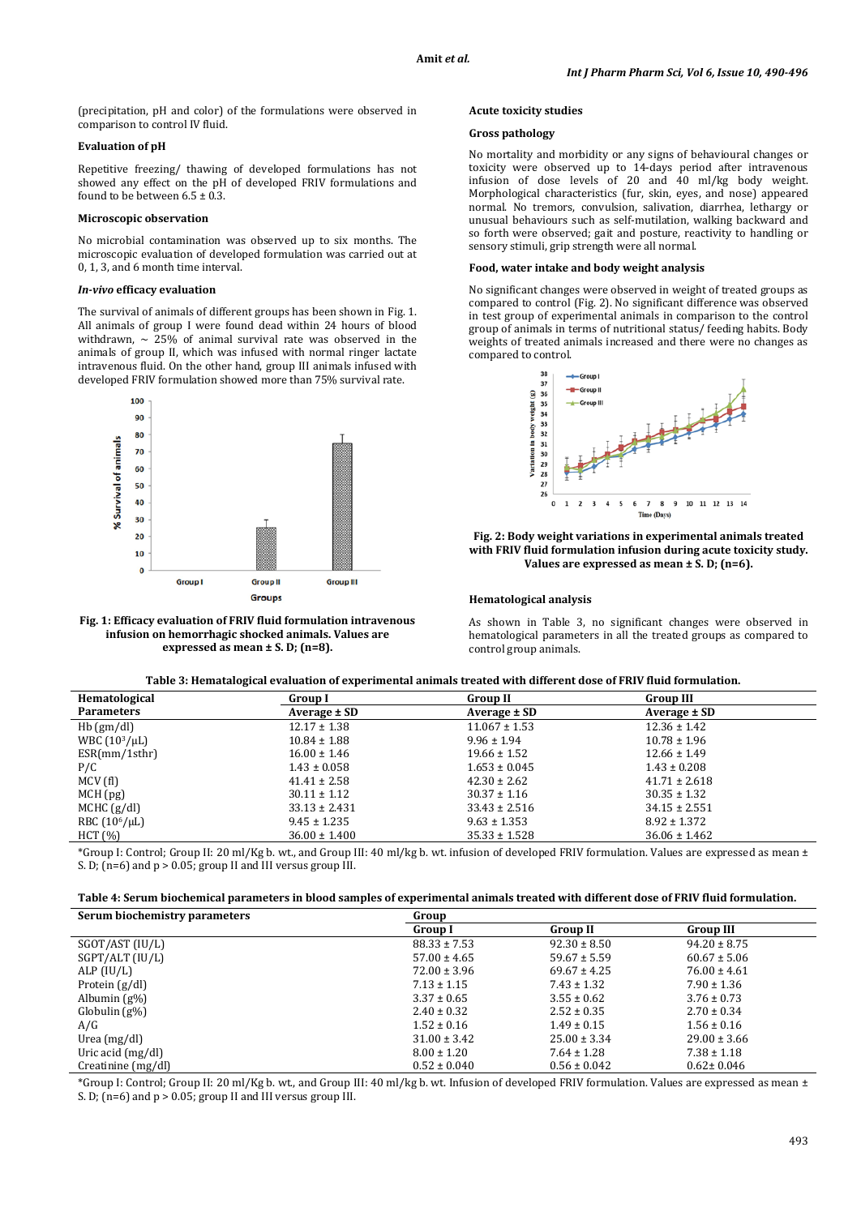(precipitation, pH and color) of the formulations were observed in comparison to control IV fluid.

## **Evaluation of pH**

Repetitive freezing/ thawing of developed formulations has not showed any effect on the pH of developed FRIV formulations and found to be between  $6.5 \pm 0.3$ .

## **Microscopic observation**

No microbial contamination was observed up to six months. The microscopic evaluation of developed formulation was carried out at 0, 1, 3, and 6 month time interval.

### *In-vivo* **efficacy evaluation**

The survival of animals of different groups has been shown in Fig. 1. All animals of group I were found dead within 24 hours of blood withdrawn,  $\sim$  25% of animal survival rate was observed in the animals of group II, which was infused with normal ringer lactate intravenous fluid. On the other hand, group III animals infused with developed FRIV formulation showed more than 75% survival rate.



**Fig. 1: Efficacy evaluation of FRIV fluid formulation intravenous infusion on hemorrhagic shocked animals. Values are expressed as mean ± S. D; (n=8).**

## **Acute toxicity studies**

## **Gross pathology**

No mortality and morbidity or any signs of behavioural changes or toxicity were observed up to 14-days period after intravenous infusion of dose levels of 20 and 40 ml/kg body weight. Morphological characteristics (fur, skin, eyes, and nose) appeared normal. No tremors, convulsion, salivation, diarrhea, lethargy or unusual behaviours such as self-mutilation, walking backward and so forth were observed; gait and posture, reactivity to handling or sensory stimuli, grip strength were all normal.

## **Food, water intake and body weight analysis**

No significant changes were observed in weight of treated groups as compared to control (Fig. 2). No significant difference was observed in test group of experimental animals in comparison to the control group of animals in terms of nutritional status/ feeding habits. Body weights of treated animals increased and there were no changes as compared to control.



**Fig. 2: Body weight variations in experimental animals treated with FRIV fluid formulation infusion during acute toxicity study. Values are expressed as mean ± S. D; (n=6).**

### **Hematological analysis**

As shown in Table 3, no significant changes were observed in hematological parameters in all the treated groups as compared to control group animals.

| Hematological      | Group I           | <b>Group II</b>   | <b>Group III</b>  |
|--------------------|-------------------|-------------------|-------------------|
| <b>Parameters</b>  | Average ± SD      | Average ± SD      | Average ± SD      |
| $Hb$ (gm/dl)       | $12.17 \pm 1.38$  | $11.067 \pm 1.53$ | $12.36 \pm 1.42$  |
| WBC $(10^3/\mu L)$ | $10.84 \pm 1.88$  | $9.96 \pm 1.94$   | $10.78 \pm 1.96$  |
| ESR/mm/1sthr       | $16.00 \pm 1.46$  | $19.66 \pm 1.52$  | $12.66 \pm 1.49$  |
| P/C                | $1.43 \pm 0.058$  | $1.653 \pm 0.045$ | $1.43 \pm 0.208$  |
| MCV(f)             | $41.41 \pm 2.58$  | $42.30 \pm 2.62$  | $41.71 \pm 2.618$ |
| MCH(pg)            | $30.11 \pm 1.12$  | $30.37 \pm 1.16$  | $30.35 \pm 1.32$  |
| $MCHC$ (g/dl)      | $33.13 \pm 2.431$ | $33.43 \pm 2.516$ | $34.15 \pm 2.551$ |
| RBC $(106/\mu L)$  | $9.45 \pm 1.235$  | $9.63 \pm 1.353$  | $8.92 \pm 1.372$  |
| HCT (%)            | $36.00 \pm 1.400$ | $35.33 \pm 1.528$ | $36.06 \pm 1.462$ |

\*Group I: Control; Group II: 20 ml/Kg b. wt., and Group III: 40 ml/kg b. wt. infusion of developed FRIV formulation. Values are expressed as mean ± S. D;  $(n=6)$  and  $p > 0.05$ ; group II and III versus group III.

| Serum biochemistry parameters | Group            |                  |                  |  |
|-------------------------------|------------------|------------------|------------------|--|
|                               | Group I          | <b>Group II</b>  | <b>Group III</b> |  |
| SGOT/AST (IU/L)               | $88.33 \pm 7.53$ | $92.30 \pm 8.50$ | $94.20 \pm 8.75$ |  |
| SGPT/ALT (IU/L)               | $57.00 \pm 4.65$ | $59.67 \pm 5.59$ | $60.67 \pm 5.06$ |  |
| ALP $(IU/L)$                  | $72.00 \pm 3.96$ | $69.67 \pm 4.25$ | $76.00 \pm 4.61$ |  |
| Protein $(g/dl)$              | $7.13 \pm 1.15$  | $7.43 \pm 1.32$  | $7.90 \pm 1.36$  |  |
| Albumin $(g\%)$               | $3.37 \pm 0.65$  | $3.55 \pm 0.62$  | $3.76 \pm 0.73$  |  |
| $Globalin(g\%)$               | $2.40 \pm 0.32$  | $2.52 \pm 0.35$  | $2.70 \pm 0.34$  |  |
| A/G                           | $1.52 \pm 0.16$  | $1.49 \pm 0.15$  | $1.56 \pm 0.16$  |  |
| Urea $(mg/dl)$                | $31.00 \pm 3.42$ | $25.00 \pm 3.34$ | $29.00 \pm 3.66$ |  |
| Uric acid $(mg/dl)$           | $8.00 \pm 1.20$  | $7.64 \pm 1.28$  | $7.38 \pm 1.18$  |  |
| Creatinine (mg/dl)            | $0.52 \pm 0.040$ | $0.56 \pm 0.042$ | $0.62 \pm 0.046$ |  |

\*Group I: Control; Group II: 20 ml/Kg b. wt., and Group III: 40 ml/kg b. wt. Infusion of developed FRIV formulation. Values are expressed as mean ± S. D; (n=6) and p > 0.05; group II and III versus group III.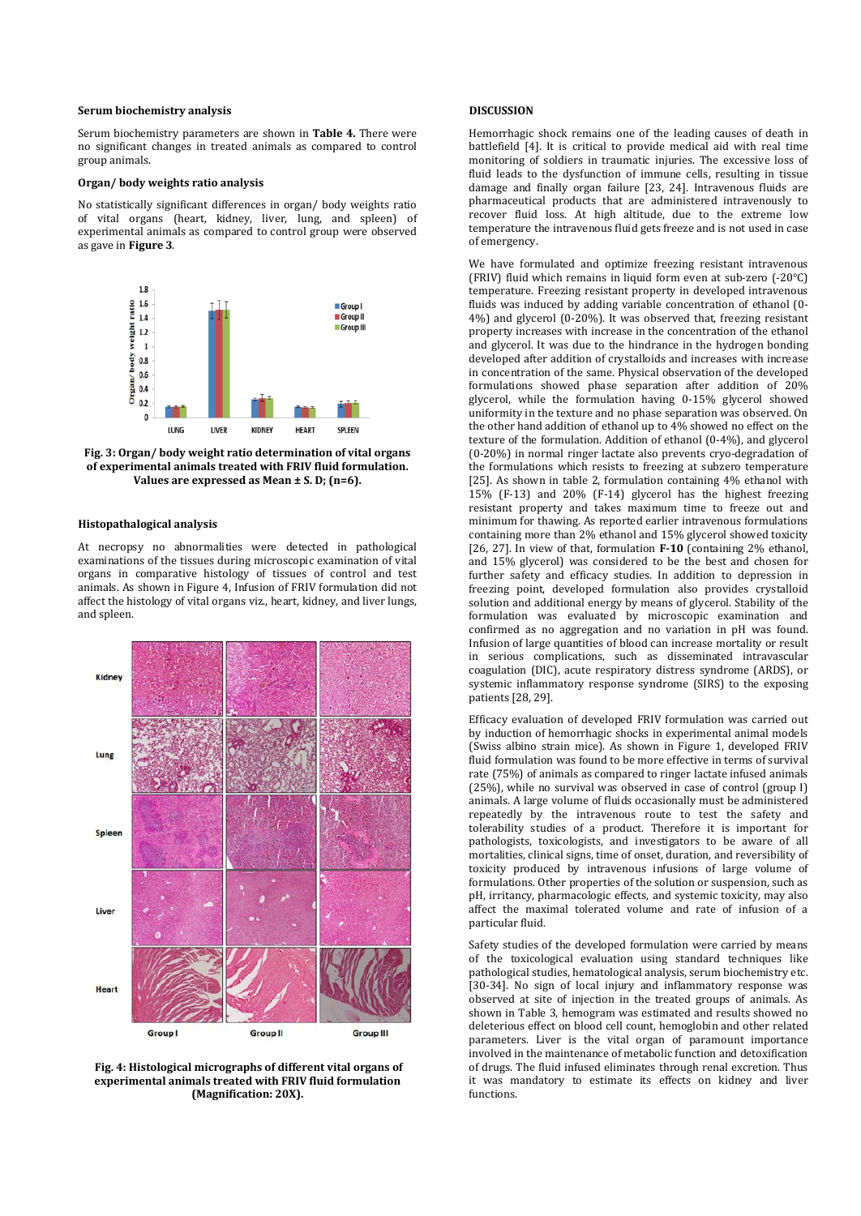### **Serum biochemistry analysis**

Serum biochemistry parameters are shown in **Table 4.** There were no significant changes in treated animals as compared to control group animals.

## **Organ/ body weights ratio analysis**

No statistically significant differences in organ/ body weights ratio of vital organs (heart, kidney, liver, lung, and spleen) of experimental animals as compared to control group were observed as gave in **Figure 3**.



**Fig. 3: Organ/ body weight ratio determination of vital organs of experimental animals treated with FRIV fluid formulation. Values are expressed as Mean ± S. D; (n=6).**

### **Histopathalogical analysis**

At necropsy no abnormalities were detected in pathological examinations of the tissues during microscopic examination of vital organs in comparative histology of tissues of control and test animals. As shown in Figure 4, Infusion of FRIV formulation did not affect the histology of vital organs viz., heart, kidney, and liver lungs, and spleen.



**Fig. 4: Histological micrographs of different vital organs of experimental animals treated with FRIV fluid formulation (Magnification: 20X).**

## **DISCUSSION**

Hemorrhagic shock remains one of the leading causes of death in battlefield [4]. It is critical to provide medical aid with real time monitoring of soldiers in traumatic injuries. The excessive loss of fluid leads to the dysfunction of immune cells, resulting in tissue damage and finally organ failure [23, 24]. Intravenous fluids are pharmaceutical products that are administered intravenously to recover fluid loss. At high altitude, due to the extreme low temperature the intravenous fluid gets freeze and is not used in case of emergency.

We have formulated and optimize freezing resistant intravenous (FRIV) fluid which remains in liquid form even at sub-zero (-20°C) temperature. Freezing resistant property in developed intravenous fluids was induced by adding variable concentration of ethanol (0- 4%) and glycerol (0-20%). It was observed that, freezing resistant property increases with increase in the concentration of the ethanol and glycerol. It was due to the hindrance in the hydrogen bonding developed after addition of crystalloids and increases with increase in concentration of the same. Physical observation of the developed formulations showed phase separation after addition of 20% glycerol, while the formulation having 0-15% glycerol showed uniformity in the texture and no phase separation was observed. On the other hand addition of ethanol up to 4% showed no effect on the texture of the formulation. Addition of ethanol (0-4%), and glycerol (0-20%) in normal ringer lactate also prevents cryo-degradation of the formulations which resists to freezing at subzero temperature [25]. As shown in table 2, formulation containing 4% ethanol with 15% (F-13) and 20% (F-14) glycerol has the highest freezing resistant property and takes maximum time to freeze out and minimum for thawing. As reported earlier intravenous formulations containing more than 2% ethanol and 15% glycerol showed toxicity [26, 27]. In view of that, formulation **F-10** (containing 2% ethanol, and 15% glycerol) was considered to be the best and chosen for further safety and efficacy studies. In addition to depression in freezing point, developed formulation also provides crystalloid solution and additional energy by means of glycerol. Stability of the formulation was evaluated by microscopic examination and confirmed as no aggregation and no variation in pH was found. Infusion of large quantities of blood can increase mortality or result in serious complications, such as disseminated intravascular coagulation (DIC), acute respiratory distress syndrome (ARDS), or systemic inflammatory response syndrome (SIRS) to the exposing patients [28, 29].

Efficacy evaluation of developed FRIV formulation was carried out by induction of hemorrhagic shocks in experimental animal models (Swiss albino strain mice). As shown in Figure 1, developed FRIV fluid formulation was found to be more effective in terms of survival rate (75%) of animals as compared to ringer lactate infused animals (25%), while no survival was observed in case of control (group I) animals. A large volume of fluids occasionally must be administered repeatedly by the intravenous route to test the safety and tolerability studies of a product. Therefore it is important for pathologists, toxicologists, and investigators to be aware of all mortalities, clinical signs, time of onset, duration, and reversibility of toxicity produced by intravenous infusions of large volume of formulations. Other properties of the solution or suspension, such as pH, irritancy, pharmacologic effects, and systemic toxicity, may also affect the maximal tolerated volume and rate of infusion of a particular fluid.

Safety studies of the developed formulation were carried by means of the toxicological evaluation using standard techniques like pathological studies, hematological analysis, serum biochemistry etc. [30-34]. No sign of local injury and inflammatory response was observed at site of injection in the treated groups of animals. As shown in Table 3, hemogram was estimated and results showed no deleterious effect on blood cell count, hemoglobin and other related parameters. Liver is the vital organ of paramount importance involved in the maintenance of metabolic function and detoxification of drugs. The fluid infused eliminates through renal excretion. Thus it was mandatory to estimate its effects on kidney and liver functions.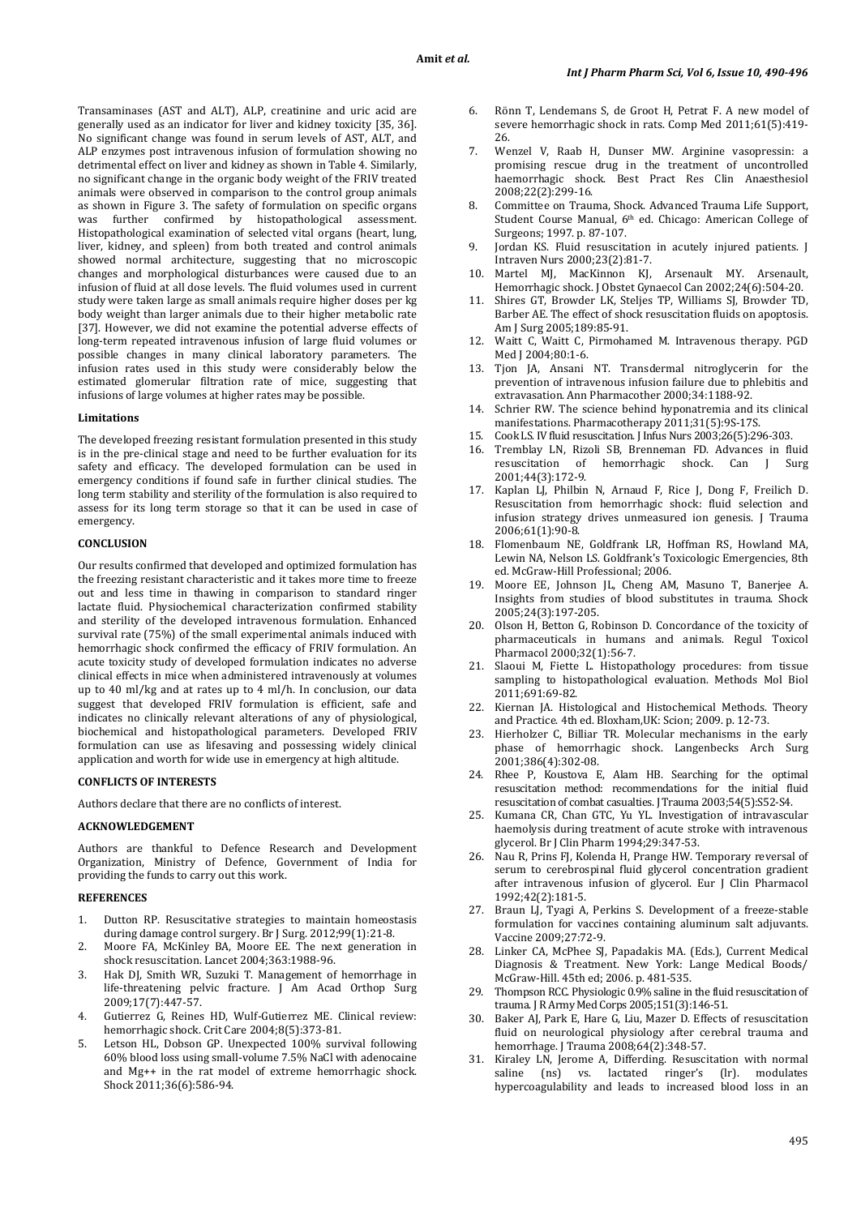Transaminases (AST and ALT), ALP, creatinine and uric acid are generally used as an indicator for liver and kidney toxicity [35, 36]. No significant change was found in serum levels of AST, ALT, and ALP enzymes post intravenous infusion of formulation showing no detrimental effect on liver and kidney as shown in Table 4. Similarly, no significant change in the organic body weight of the FRIV treated animals were observed in comparison to the control group animals as shown in Figure 3. The safety of formulation on specific organs<br>was further confirmed by histopathological assessment. confirmed by histopathological assessment. Histopathological examination of selected vital organs (heart, lung, liver, kidney, and spleen) from both treated and control animals showed normal architecture, suggesting that no microscopic changes and morphological disturbances were caused due to an infusion of fluid at all dose levels. The fluid volumes used in current study were taken large as small animals require higher doses per kg body weight than larger animals due to their higher metabolic rate [37]. However, we did not examine the potential adverse effects of long-term repeated intravenous infusion of large fluid volumes or possible changes in many clinical laboratory parameters. The infusion rates used in this study were considerably below the estimated glomerular filtration rate of mice, suggesting that infusions of large volumes at higher rates may be possible.

### **Limitations**

The developed freezing resistant formulation presented in this study is in the pre-clinical stage and need to be further evaluation for its safety and efficacy. The developed formulation can be used in emergency conditions if found safe in further clinical studies. The long term stability and sterility of the formulation is also required to assess for its long term storage so that it can be used in case of emergency.

## **CONCLUSION**

Our results confirmed that developed and optimized formulation has the freezing resistant characteristic and it takes more time to freeze out and less time in thawing in comparison to standard ringer lactate fluid. Physiochemical characterization confirmed stability and sterility of the developed intravenous formulation. Enhanced survival rate (75%) of the small experimental animals induced with hemorrhagic shock confirmed the efficacy of FRIV formulation. An acute toxicity study of developed formulation indicates no adverse clinical effects in mice when administered intravenously at volumes up to 40 ml/kg and at rates up to 4 ml/h. In conclusion, our data suggest that developed FRIV formulation is efficient, safe and indicates no clinically relevant alterations of any of physiological, biochemical and histopathological parameters. Developed FRIV formulation can use as lifesaving and possessing widely clinical application and worth for wide use in emergency at high altitude.

## **CONFLICTS OF INTERESTS**

Authors declare that there are no conflicts of interest.

## **ACKNOWLEDGEMENT**

Authors are thankful to Defence Research and Development Organization, Ministry of Defence, Government of India for providing the funds to carry out this work.

## **REFERENCES**

- 1. Dutton RP. Resuscitative strategies to maintain homeostasis during damage control surgery. Br J Surg. 2012;99(1):21-8.
- 2. Moore FA, McKinley BA, Moore EE. The next generation in shock resuscitation. Lancet 2004;363:1988-96.
- 3. Hak DJ, Smith WR, Suzuki T. Management of hemorrhage in life-threatening pelvic fracture. J Am Acad Orthop Surg 2009;17(7):447-57.
- 4. Gutierrez G, Reines HD, Wulf-Gutierrez ME. Clinical review: hemorrhagic shock. Crit Care 2004;8(5):373-81.
- 5. Letson HL, Dobson GP. Unexpected 100% survival following 60% blood loss using small-volume 7.5% NaCl with adenocaine and Mg++ in the rat model of extreme hemorrhagic shock. Shock 2011;36(6):586-94.
- 6. Rönn T, Lendemans S, de Groot H, Petrat F. A new model of severe hemorrhagic shock in rats. Comp Med 2011;61(5):419- 26.
- 7. Wenzel V, Raab H, Dunser MW. Arginine vasopressin: a promising rescue drug in the treatment of uncontrolled haemorrhagic shock. Best Pract Res Clin Anaesthesiol 2008;22(2):299-16.
- 8. Committee on Trauma, Shock. Advanced Trauma Life Support, Student Course Manual, 6<sup>th</sup> ed. Chicago: American College of Surgeons; 1997. p. 87-107.
- 9. Jordan KS. Fluid resuscitation in acutely injured patients. J Intraven Nurs 2000;23(2):81-7.
- 10. Martel MJ, MacKinnon KJ, Arsenault MY. Arsenault, Hemorrhagic shock. J Obstet Gynaecol Can 2002;24(6):504-20.
- Shires GT, Browder LK, Steljes TP, Williams SJ, Browder TD, Barber AE. The effect of shock resuscitation fluids on apoptosis. Am J Surg 2005;189:85-91.
- 12. Waitt C, Waitt C, Pirmohamed M. Intravenous therapy. PGD Med J 2004;80:1-6.
- 13. Tjon JA, Ansani NT. Transdermal nitroglycerin for the prevention of intravenous infusion failure due to phlebitis and extravasation. Ann Pharmacother 2000;34:1188-92.
- 14. Schrier RW. The science behind hyponatremia and its clinical manifestations. Pharmacotherapy 2011;31(5):9S-17S.
- 15. Cook LS. IV fluid resuscitation. J Infus Nurs 2003;26(5):296-303.
- Tremblay LN, Rizoli SB, Brenneman FD. Advances in fluid<br>resuscitation of hemorrhagic shock. Can I Surg hemorrhagic shock. Can J Surg 2001;44(3):172-9.
- 17. Kaplan LJ, Philbin N, Arnaud F, Rice J, Dong F, Freilich D. Resuscitation from hemorrhagic shock: fluid selection and infusion strategy drives unmeasured ion genesis. J Trauma 2006;61(1):90-8.
- 18. Flomenbaum NE, Goldfrank LR, Hoffman RS, Howland MA, Lewin NA, Nelson LS. Goldfrank's Toxicologic Emergencies, 8th ed. McGraw-Hill Professional; 2006.
- 19. Moore EE, Johnson JL, Cheng AM, Masuno T, Banerjee A. Insights from studies of blood substitutes in trauma. Shock 2005;24(3):197-205.
- 20. Olson H, Betton G, Robinson D. Concordance of the toxicity of pharmaceuticals in humans and animals. Regul Toxicol Pharmacol 2000;32(1):56-7.
- 21. Slaoui M, Fiette L. Histopathology procedures: from tissue sampling to histopathological evaluation. Methods Mol Biol 2011;691:69-82.
- 22. Kiernan JA. Histological and Histochemical Methods. Theory and Practice. 4th ed. Bloxham,UK: Scion; 2009. p. 12-73.
- 23. Hierholzer C, Billiar TR. Molecular mechanisms in the early phase of hemorrhagic shock. Langenbecks Arch Surg 2001;386(4):302-08.
- 24. Rhee P, Koustova E, Alam HB. Searching for the optimal resuscitation method: recommendations for the initial fluid resuscitation of combat casualties. J Trauma 2003;54(5):S52-S4.
- 25. Kumana CR, Chan GTC, Yu YL. Investigation of intravascular haemolysis during treatment of acute stroke with intravenous glycerol. Br J Clin Pharm 1994;29:347-53.
- 26. Nau R, Prins FJ, Kolenda H, Prange HW. Temporary reversal of serum to cerebrospinal fluid glycerol concentration gradient after intravenous infusion of glycerol. Eur J Clin Pharmacol 1992;42(2):181-5.
- 27. Braun LJ, Tyagi A, Perkins S. Development of a freeze-stable formulation for vaccines containing aluminum salt adjuvants. Vaccine 2009;27:72-9.
- 28. Linker CA, McPhee SJ, Papadakis MA. (Eds.), Current Medical Diagnosis & Treatment. New York: Lange Medical Boods/ McGraw-Hill. 45th ed; 2006. p. 481-535.
- 29. Thompson RCC. Physiologic 0.9% saline in the fluid resuscitation of trauma. J R Army Med Corps 2005;151(3):146-51.
- 30. Baker AJ, Park E, Hare G, Liu, Mazer D. Effects of resuscitation fluid on neurological physiology after cerebral trauma and hemorrhage. J Trauma 2008;64(2):348-57.
- 31. Kiraley LN, Jerome A, Differding. Resuscitation with normal saline (ns) vs. lactated ringer's hypercoagulability and leads to increased blood loss in an